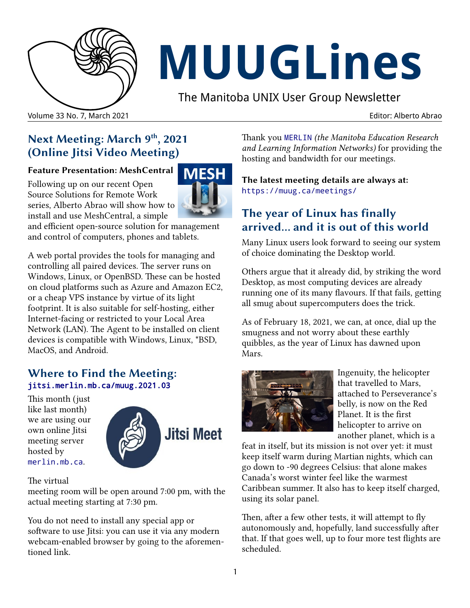

# **MUUGLines**

The Manitoba UNIX User Group Newsletter

#### Volume 33 No. 7, March 2021 Editor: Alberto Abrao

# **Next Meeting: March 9th, 2021 (Online Jitsi Video Meeting)**

#### **Feature Presentation: MeshCentral**

Following up on our recent Open Source Solutions for Remote Work series, Alberto Abrao will show how to install and use MeshCentral, a simple

and efficient open-source solution for management and control of computers, phones and tablets.

A web portal provides the tools for managing and controlling all paired devices. The server runs on Windows, Linux, or OpenBSD. These can be hosted on cloud platforms such as Azure and Amazon EC2, or a cheap VPS instance by virtue of its light footprint. It is also suitable for self-hosting, either Internet-facing or restricted to your Local Area Network (LAN). The Agent to be installed on client devices is compatible with Windows, Linux, \*BSD, MacOS, and Android.

#### **Where to Find the Meeting:** [jitsi.merlin.mb.ca/muug.2021.03](https://jitsi.merlin.mb.ca/muug.2021.03)

This month (just like last month) we are using our own online Jitsi meeting server hosted by [merlin.mb.ca](https://merlin.mb.ca/).



**MFS** 

The virtual

meeting room will be open around 7:00 pm, with the actual meeting starting at 7:30 pm.

You do not need to install any special app or software to use Jitsi: you can use it via any modern webcam-enabled browser by going to the aforementioned link.

Thank you [MERLIN](https://merlin.mb.ca/) *(the Manitoba Education Research and Learning Information Networks)* for providing the hosting and bandwidth for our meetings.

**The latest meeting details are always at:** <https://muug.ca/meetings/>

# **The year of Linux has finally arrived... and it is out of this world**

Many Linux users look forward to seeing our system of choice dominating the Desktop world.

Others argue that it already did, by striking the word Desktop, as most computing devices are already running one of its many flavours. If that fails, getting all smug about supercomputers does the trick.

As of February 18, 2021, we can, at once, dial up the smugness and not worry about these earthly quibbles, as the year of Linux has dawned upon Mars.



Ingenuity, the helicopter that travelled to Mars, attached to Perseverance's belly, is now on the Red Planet. It is the first helicopter to arrive on another planet, which is a

feat in itself, but its mission is not over yet: it must keep itself warm during Martian nights, which can go down to -90 degrees Celsius: that alone makes Canada's worst winter feel like the warmest Caribbean summer. It also has to keep itself charged, using its solar panel.

Then, after a few other tests, it will attempt to fly autonomously and, hopefully, land successfully after that. If that goes well, up to four more test flights are scheduled.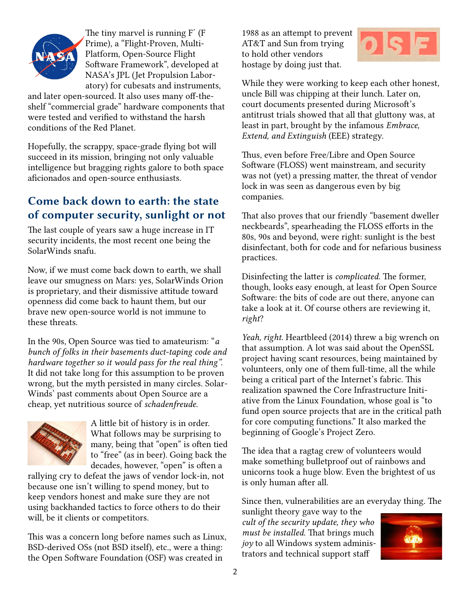

The tiny marvel is running F´ (F Prime), a "Flight-Proven, Multi-Platform, Open-Source Flight Software Framework", developed at NASA's JPL (Jet Propulsion Laboratory) for cubesats and instruments,

and later open-sourced. It also uses many off-theshelf "commercial grade" hardware components that were tested and verified to withstand the harsh conditions of the Red Planet.

Hopefully, the scrappy, space-grade flying bot will succeed in its mission, bringing not only valuable intelligence but bragging rights galore to both space aficionados and open-source enthusiasts.

### **Come back down to earth: the state of computer security, sunlight or not**

The last couple of years saw a huge increase in IT security incidents, the most recent one being the SolarWinds snafu.

Now, if we must come back down to earth, we shall leave our smugness on Mars: yes, SolarWinds Orion is proprietary, and their dismissive attitude toward openness did come back to haunt them, but our brave new open-source world is not immune to these threats.

In the 90s, Open Source was tied to amateurism: "*a bunch of folks in their basements duct-taping code and hardware together so it would pass for the real thing".* It did not take long for this assumption to be proven wrong, but the myth persisted in many circles. Solar-Winds' past comments about Open Source are a cheap, yet nutritious source of *schadenfreude*.



A little bit of history is in order. What follows may be surprising to many, being that "open" is often tied to "free" (as in beer). Going back the decades, however, "open" is often a

rallying cry to defeat the jaws of vendor lock-in, not because one isn't willing to spend money, but to keep vendors honest and make sure they are not using backhanded tactics to force others to do their will, be it clients or competitors.

This was a concern long before names such as Linux, BSD-derived OSs (not BSD itself), etc., were a thing: the Open Software Foundation (OSF) was created in

1988 as an attempt to prevent AT&T and Sun from trying to hold other vendors hostage by doing just that.



While they were working to keep each other honest, uncle Bill was chipping at their lunch. Later on, court documents presented during Microsoft's antitrust trials showed that all that gluttony was, at least in part, brought by the infamous *Embrace, Extend, and Extinguish* (EEE) strategy.

Thus, even before Free/Libre and Open Source Software (FLOSS) went mainstream, and security was not (yet) a pressing matter, the threat of vendor lock in was seen as dangerous even by big companies.

That also proves that our friendly "basement dweller neckbeards", spearheading the FLOSS efforts in the 80s, 90s and beyond, were right: sunlight is the best disinfectant, both for code and for nefarious business practices.

Disinfecting the latter is *complicated.* The former, though, looks easy enough, at least for Open Source Software: the bits of code are out there, anyone can take a look at it. Of course others are reviewing it, *right*?

*Yeah, right.* Heartbleed (2014) threw a big wrench on that assumption. A lot was said about the OpenSSL project having scant resources, being maintained by volunteers, only one of them full-time, all the while being a critical part of the Internet's fabric. This realization spawned the Core Infrastructure Initiative from the Linux Foundation, whose goal is "to fund open source projects that are in the critical path for core computing functions." It also marked the beginning of Google's Project Zero.

The idea that a ragtag crew of volunteers would make something bulletproof out of rainbows and unicorns took a huge blow. Even the brightest of us is only human after all.

Since then, vulnerabilities are an everyday thing. The

sunlight theory gave way to the *cult of the security update, they who must be installed.* That brings much *joy* to all Windows system administrators and technical support staff

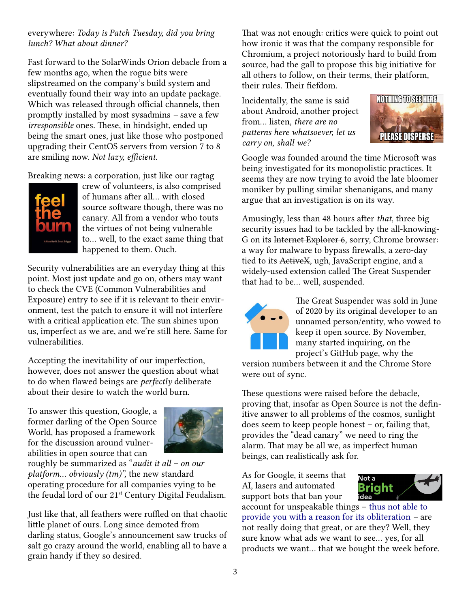#### everywhere: *Today is Patch Tuesday, did you bring lunch? What about dinner?*

Fast forward to the SolarWinds Orion debacle from a few months ago, when the rogue bits were slipstreamed on the company's build system and eventually found their way into an update package. Which was released through official channels, then promptly installed by most sysadmins *–* save a few *irresponsible* ones. These, in hindsight, ended up being the smart ones, just like those who postponed upgrading their CentOS servers from version 7 to 8 are smiling now. *Not lazy, efficient.*

Breaking news: a corporation, just like our ragtag



crew of volunteers, is also comprised of humans after all... with closed source software though, there was no canary. All from a vendor who touts the virtues of not being vulnerable to... well, to the exact same thing that happened to them. Ouch.

Security vulnerabilities are an everyday thing at this point. Most just update and go on, others may want to check the CVE (Common Vulnerabilities and Exposure) entry to see if it is relevant to their environment, test the patch to ensure it will not interfere with a critical application etc. The sun shines upon us, imperfect as we are, and we're still here. Same for vulnerabilities.

Accepting the inevitability of our imperfection, however, does not answer the question about what to do when flawed beings are *perfectly* deliberate about their desire to watch the world burn.

To answer this question, Google, a former darling of the Open Source World, has proposed a framework for the discussion around vulnerabilities in open source that can



roughly be summarized as "*audit it all – on our platform... obviously (tm)",* the new standard operating procedure for all companies vying to be the feudal lord of our 21<sup>st</sup> Century Digital Feudalism.

Just like that, all feathers were ruffled on that chaotic little planet of ours. Long since demoted from darling status, Google's announcement saw trucks of salt go crazy around the world, enabling all to have a grain handy if they so desired.

That was not enough: critics were quick to point out how ironic it was that the company responsible for Chromium, a project notoriously hard to build from source, had the gall to propose this big initiative for all others to follow, on their terms, their platform, their rules. Their fiefdom.

Incidentally, the same is said about Android, another project from... listen, *there are no patterns here whatsoever, let us carry on, shall we?*



Google was founded around the time Microsoft was being investigated for its monopolistic practices. It seems they are now trying to avoid the late bloomer moniker by pulling similar shenanigans, and many argue that an investigation is on its way.

Amusingly, less than 48 hours after *that*, three big security issues had to be tackled by the all-knowing-G on its Internet Explorer 6, sorry, Chrome browser: a way for malware to bypass firewalls, a zero-day tied to its ActiveX, ugh, JavaScript engine, and a widely-used extension called The Great Suspender that had to be... well, suspended.



The Great Suspender was sold in June of 2020 by its original developer to an unnamed person/entity, who vowed to keep it open source. By November, many started inquiring, on the project's GitHub page, why the

version numbers between it and the Chrome Store were out of sync.

These questions were raised before the debacle, proving that, insofar as Open Source is not the definitive answer to all problems of the cosmos, sunlight does seem to keep people honest – or, failing that, provides the "dead canary" we need to ring the alarm. That may be all we, as imperfect human beings, can realistically ask for.

As for Google, it seems that AI, lasers and automated support bots that ban your



account for unspeakable things – [thus not able to](https://www.polygon.com/2021/2/8/22272284/terraria-google-stadia-canceled-developer-locked-out)  [provide you with a reason for its obliteration](https://www.polygon.com/2021/2/8/22272284/terraria-google-stadia-canceled-developer-locked-out) *–* are not really doing that great, or are they? Well, they sure know what ads we want to see... yes, for all products we want... that we bought the week before.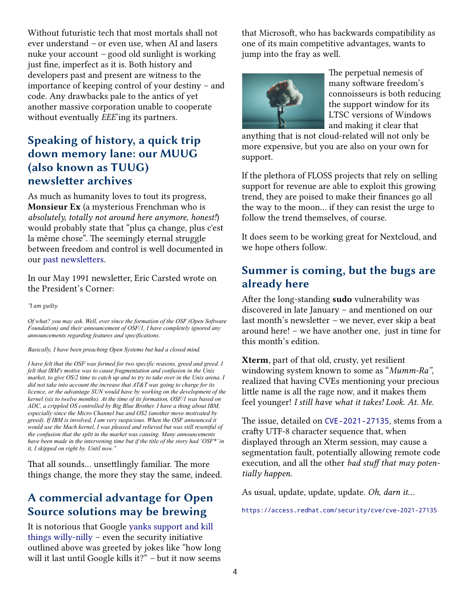Without futuristic tech that most mortals shall not ever understand *–* or even use, when AI and lasers nuke your account *–* good old sunlight is working just fine, imperfect as it is. Both history and developers past and present are witness to the importance of keeping control of your destiny – and code. Any drawbacks pale to the antics of yet another massive corporation unable to cooperate without eventually *EEE*'ing its partners.

## **Speaking of history, a quick trip down memory lane: our MUUG (also known as TUUG) newsletter archives**

As much as humanity loves to tout its progress, **Monsieur Ex** (a mysterious Frenchman who is *absolutely, totally not around here anymore, honest!*) would probably state that "plus ça change, plus c'est la même chose". The seemingly eternal struggle between freedom and control is well documented in our [past newsletters](http://muug.ca/pub/muuglines/pdf/).

In our May 1991 newsletter, Eric Carsted wrote on the President's Corner:

*"I am guilty.*

*Of what? you may ask. Well, ever since the formation of the OSF (Open Software Foundation) and their announcement of OSF/1, I have completely ignored any announcements regarding features and specifications.*

*Basically, I have been preaching Open Systems but had a closed mind.*

*I have felt that the OSF was formed for two specific reasons, greed and greed. I felt that lBM's motive was to cause fragmentation and confusion in the Unix market, to give OS/2 time to catch up and to try to take over in the Unix arena. I did not take into account the increase that AT&T was going to charge for its licence, or the advantage SUN would have by working on the development of the kernel (six to twelve months). At the time of its formation, OSF/1 was based on ADC, a crippled OS controlled by Big Blue Brother. I have a thing about IBM, especially since the Micro Channel bus and OS2 (another move motivated by greed). If IBM is involved, I am very suspicious. When the OSF announced it would use the Mach kernel, I was pleased and relieved but was still resentful of the confusion that the split in the market was causing. Many announcements have been made in the intervening time but if the title of the story had 'OSF\*' in it, I skipped on right by. Until now."*

That all sounds... unsettlingly familiar. The more things change, the more they stay the same, indeed.

# **A commercial advantage for Open Source solutions may be brewing**

It is notorious that Google [yanks support and kill](https://killedbygoogle.com/)  [things willy-nilly](https://killedbygoogle.com/) – even the security initiative outlined above was greeted by jokes like "how long will it last until Google kills it?" *–* but it now seems that Microsoft, who has backwards compatibility as one of its main competitive advantages, wants to jump into the fray as well.



The perpetual nemesis of many software freedom's connoisseurs is both reducing the support window for its LTSC versions of Windows and making it clear that

anything that is not cloud-related will not only be more expensive, but you are also on your own for support.

If the plethora of FLOSS projects that rely on selling support for revenue are able to exploit this growing trend, they are poised to make their finances go all the way to the moon... if they can resist the urge to follow the trend themselves, of course.

It does seem to be working great for Nextcloud, and we hope others follow.

## **Summer is coming, but the bugs are already here**

After the long-standing **sudo** vulnerability was discovered in late January – and mentioned on our last month's newsletter *–* we never, ever skip a beat around here! – we have another one, just in time for this month's edition.

**Xterm**, part of that old, crusty, yet resilient windowing system known to some as "*Mumm-Ra"*, realized that having CVEs mentioning your precious little name is all the rage now, and it makes them feel younger! *I still have what it takes! Look. At. Me.*

The issue, detailed on [CVE-2021-27135](https://cve.mitre.org/cgi-bin/cvename.cgi?name=CVE-2021-27135), stems from a crafty UTF-8 character sequence that, when displayed through an Xterm session, may cause a segmentation fault, potentially allowing remote code execution, and all the other *bad stuff that may potentially happen*.

As usual, update, update, update. *Oh, darn it...*

<https://access.redhat.com/security/cve/cve-2021-27135>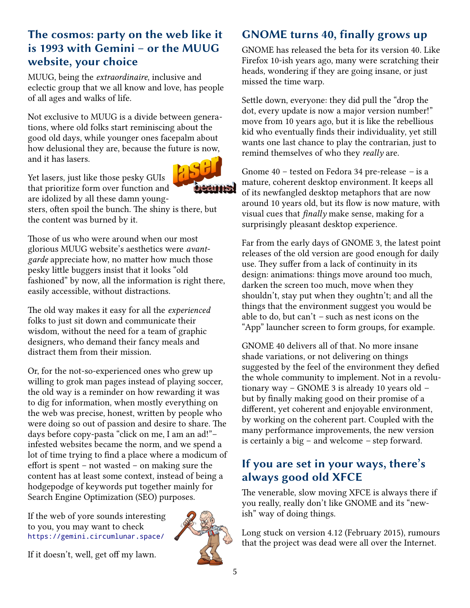## **The cosmos: party on the web like it is 1993 with Gemini – or the MUUG website, your choice**

MUUG, being the *extraordinaire*, inclusive and eclectic group that we all know and love, has people of all ages and walks of life.

Not exclusive to MUUG is a divide between generations, where old folks start reminiscing about the good old days, while younger ones facepalm about how delusional they are, because the future is now, and it has lasers.

Yet lasers, just like those pesky GUIs that prioritize form over function and are idolized by all these damn young-

sters, often spoil the bunch. The shiny is there, but the content was burned by it.

Those of us who were around when our most glorious MUUG website's aesthetics were *avantgarde* appreciate how, no matter how much those pesky little buggers insist that it looks "old fashioned" by now, all the information is right there, easily accessible, without distractions.

The old way makes it easy for all the *experienced*  folks to just sit down and communicate their wisdom, without the need for a team of graphic designers, who demand their fancy meals and distract them from their mission.

Or, for the not-so-experienced ones who grew up willing to grok man pages instead of playing soccer, the old way is a reminder on how rewarding it was to dig for information, when mostly everything on the web was precise, honest, written by people who were doing so out of passion and desire to share. The days before copy-pasta "click on me, I am an ad!"– infested websites became the norm, and we spend a lot of time trying to find a place where a modicum of effort is spent – not wasted – on making sure the content has at least some context, instead of being a hodgepodge of keywords put together mainly for Search Engine Optimization (SEO) purposes.

If the web of yore sounds interesting to you, you may want to check <https://gemini.circumlunar.space/>

If it doesn't, well, get off my lawn.



GNOME has released the beta for its version 40. Like Firefox 10-ish years ago, many were scratching their heads, wondering if they are going insane, or just missed the time warp.

Settle down, everyone: they did pull the "drop the dot, every update is now a major version number!" move from 10 years ago, but it is like the rebellious kid who eventually finds their individuality, yet still wants one last chance to play the contrarian, just to remind themselves of who they *really* are.

Gnome 40 – tested on Fedora 34 pre-release *–* is a mature, coherent desktop environment. It keeps all of its newfangled desktop metaphors that are now around 10 years old, but its flow is now mature, with visual cues that *finally* make sense, making for a surprisingly pleasant desktop experience.

Far from the early days of GNOME 3, the latest point releases of the old version are good enough for daily use. They suffer from a lack of continuity in its design: animations: things move around too much, darken the screen too much, move when they shouldn't, stay put when they oughtn't; and all the things that the environment suggest you would be able to do, but can't *–* such as nest icons on the "App" launcher screen to form groups, for example.

GNOME 40 delivers all of that. No more insane shade variations, or not delivering on things suggested by the feel of the environment they defied the whole community to implement. Not in a revolutionary way – GNOME 3 is already 10 years old *–* but by finally making good on their promise of a different, yet coherent and enjoyable environment, by working on the coherent part. Coupled with the many performance improvements, the new version is certainly a big – and welcome *–* step forward.

## **If you are set in your ways, there's always good old XFCE**

The venerable, slow moving XFCE is always there if you really, really don't like GNOME and its "newish" way of doing things.

Long stuck on version 4.12 (February 2015), rumours that the project was dead were all over the Internet.